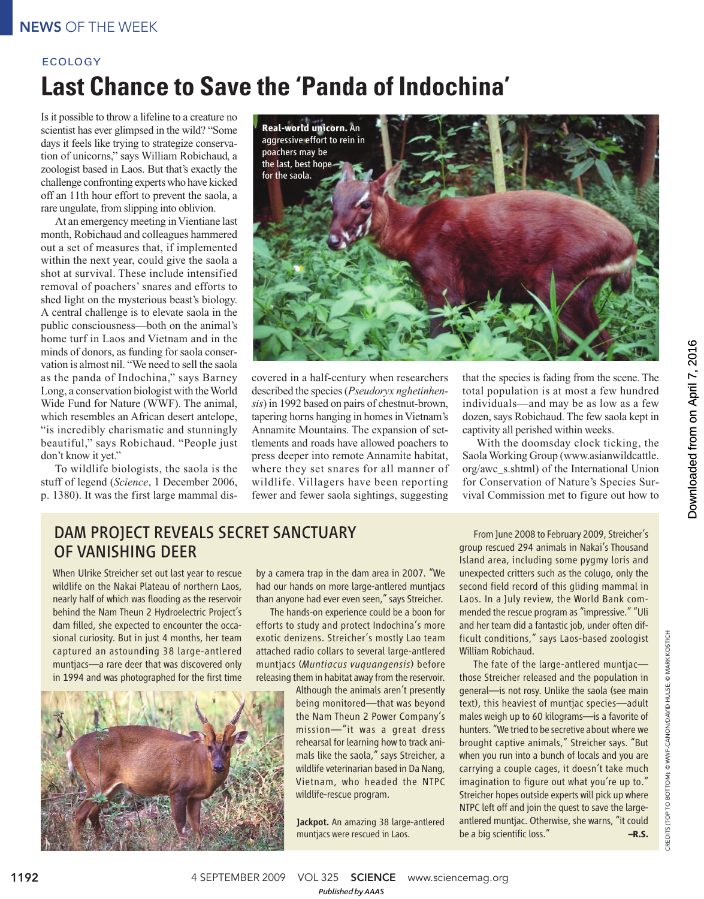### NEWS OF THE WEEK

# **Last Chance to Save the 'Panda of Indochina'** ECOLOGY

Is it possible to throw a lifeline to a creature no scientist has ever glimpsed in the wild? "Some days it feels like trying to strategize conservation of unicorns," says William Robichaud, a zoologist based in Laos. But that's exactly the challenge confronting experts who have kicked off an 11th hour effort to prevent the saola, a rare ungulate, from slipping into oblivion.

At an emergency meeting in Vientiane last month, Robichaud and colleagues hammered out a set of measures that, if implemented within the next year, could give the saola a shot at survival. These include intensified removal of poachers' snares and efforts to shed light on the mysterious beast's biology. A central challenge is to elevate saola in the public consciousness—both on the animal's home turf in Laos and Vietnam and in the minds of donors, as funding for saola conservation is almost nil. "We need to sell the saola as the panda of Indochina," says Barney Long, a conservation biologist with the World Wide Fund for Nature (WWF). The animal, which resembles an African desert antelope. "is incredibly charismatic and stunningly beautiful," says Robichaud. "People just don't know it yet."

To wildlife biologists, the saola is the stuff of legend (*Science*, 1 December 2006, p. 1380). It was the first large mammal dis-



covered in a half-century when researchers described the species (*Pseudoryx nghetinhensis*) in 1992 based on pairs of chestnut-brown, tapering horns hanging in homes in Vietnam's Annamite Mountains. The expansion of settlements and roads have allowed poachers to press deeper into remote Annamite habitat, where they set snares for all manner of wildlife. Villagers have been reporting fewer and fewer saola sightings, suggesting

that the species is fading from the scene. The total population is at most a few hundred individuals—and may be as low as a few dozen, says Robichaud. The few saola kept in captivity all perished within weeks.

With the doomsday clock ticking, the Saola Working Group (www.asianwildcattle. org/awc\_s.shtml) of the International Union for Conservation of Nature's Species Survival Commission met to figure out how to

### DAM PROJECT REVEALS SECRET SANCTUARY OF VANISHING DEER

When Ulrike Streicher set out last year to rescue wildlife on the Nakai Plateau of northern Laos, nearly half of which was flooding as the reservoir behind the Nam Theun 2 Hydroelectric Project's dam filled, she expected to encounter the occasional curiosity. But in just 4 months, her team captured an astounding 38 large-antlered muntjacs—a rare deer that was discovered only in 1994 and was photographed for the first time



by a camera trap in the dam area in 2007. "We had our hands on more large-antlered muntjacs than anyone had ever even seen," says Streicher.

The hands-on experience could be a boon for efforts to study and protect Indochina's more exotic denizens. Streicher's mostly Lao team attached radio collars to several large-antlered muntjacs (*Muntiacus vuquangensis*) before releasing them in habitat away from the reservoir.

> Although the animals aren't presently being monitored—that was beyond the Nam Theun 2 Power Company's mission—"it was a great dress rehearsal for learning how to track animals like the saola," says Streicher, a wildlife veterinarian based in Da Nang, Vietnam, who headed the NTPC wildlife-rescue program.

> Jackpot. An amazing 38 large-antlered muntjacs were rescued in Laos.

From June 2008 to February 2009, Streicher's group rescued 294 animals in Nakai's Thousand Island area, including some pygmy loris and unexpected critters such as the colugo, only the second field record of this gliding mammal in Laos. In a July review, the World Bank commended the rescue program as "impressive." "Uli and her team did a fantastic job, under often difficult conditions," says Laos-based zoologist William Robichaud.

The fate of the large-antlered muntjac those Streicher released and the population in general—is not rosy. Unlike the saola (see main text), this heaviest of muntjac species—adult males weigh up to 60 kilograms—is a favorite of hunters. "We tried to be secretive about where we brought captive animals," Streicher says. "But when you run into a bunch of locals and you are carrying a couple cages, it doesn't take much imagination to figure out what you're up to." Streicher hopes outside experts will pick up where NTPC left off and join the quest to save the largeantlered muntjac. Otherwise, she warns, "it could be a big scientific loss." **–R.S.**